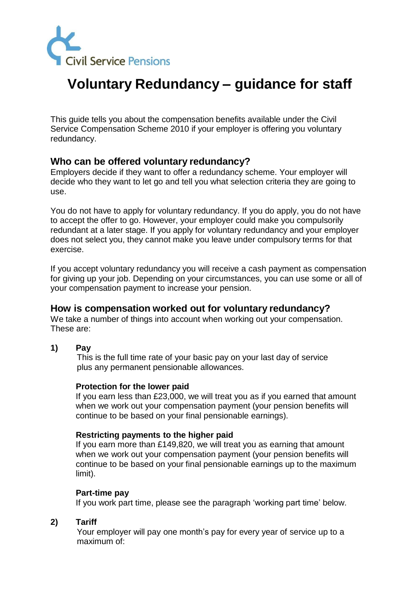

# **Voluntary Redundancy – guidance for staff**

This guide tells you about the compensation benefits available under the Civil Service Compensation Scheme 2010 if your employer is offering you voluntary redundancy.

# **Who can be offered voluntary redundancy?**

Employers decide if they want to offer a redundancy scheme. Your employer will decide who they want to let go and tell you what selection criteria they are going to use.

You do not have to apply for voluntary redundancy. If you do apply, you do not have to accept the offer to go. However, your employer could make you compulsorily redundant at a later stage. If you apply for voluntary redundancy and your employer does not select you, they cannot make you leave under compulsory terms for that exercise.

If you accept voluntary redundancy you will receive a cash payment as compensation for giving up your job. Depending on your circumstances, you can use some or all of your compensation payment to increase your pension.

# **How is compensation worked out for voluntary redundancy?**

We take a number of things into account when working out your compensation. These are:

**1) Pay**

This is the full time rate of your basic pay on your last day of service plus any permanent pensionable allowances.

#### **Protection for the lower paid**

If you earn less than £23,000, we will treat you as if you earned that amount when we work out your compensation payment (your pension benefits will continue to be based on your final pensionable earnings).

#### **Restricting payments to the higher paid**

If you earn more than £149,820, we will treat you as earning that amount when we work out your compensation payment (your pension benefits will continue to be based on your final pensionable earnings up to the maximum limit).

#### **Part-time pay**

If you work part time, please see the paragraph 'working part time' below.

# **2) Tariff**

Your employer will pay one month's pay for every year of service up to a maximum of: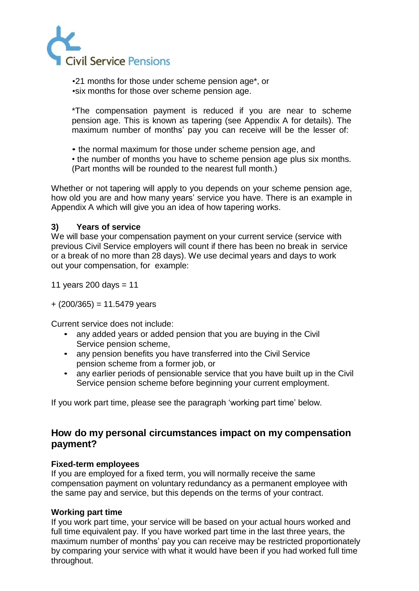

•21 months for those under scheme pension age\*, or •six months for those over scheme pension age.

\*The compensation payment is reduced if you are near to scheme pension age. This is known as tapering (see Appendix A for details). The maximum number of months' pay you can receive will be the lesser of:

• the normal maximum for those under scheme pension age, and

• the number of months you have to scheme pension age plus six months. (Part months will be rounded to the nearest full month.)

Whether or not tapering will apply to you depends on your scheme pension age, how old you are and how many years' service you have. There is an example in Appendix A which will give you an idea of how tapering works.

# **3) Years of service**

We will base your compensation payment on your current service (service with previous Civil Service employers will count if there has been no break in service or a break of no more than 28 days). We use decimal years and days to work out your compensation, for example:

11 years 200 days  $= 11$ 

 $+ (200/365) = 11.5479$  years

Current service does not include:

- any added years or added pension that you are buying in the Civil Service pension scheme,
- any pension benefits you have transferred into the Civil Service pension scheme from a former job, or
- any earlier periods of pensionable service that you have built up in the Civil Service pension scheme before beginning your current employment.

If you work part time, please see the paragraph 'working part time' below.

# **How do my personal circumstances impact on my compensation payment?**

# **Fixed-term employees**

If you are employed for a fixed term, you will normally receive the same compensation payment on voluntary redundancy as a permanent employee with the same pay and service, but this depends on the terms of your contract.

# **Working part time**

If you work part time, your service will be based on your actual hours worked and full time equivalent pay. If you have worked part time in the last three years, the maximum number of months' pay you can receive may be restricted proportionately by comparing your service with what it would have been if you had worked full time throughout.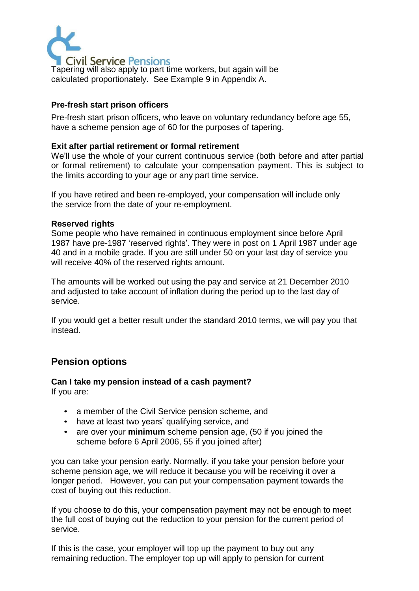

Tapering will also apply to part time workers, but again will be calculated proportionately. See Example 9 in Appendix A.

### **Pre-fresh start prison officers**

Pre-fresh start prison officers, who leave on voluntary redundancy before age 55, have a scheme pension age of 60 for the purposes of tapering.

#### **Exit after partial retirement or formal retirement**

We'll use the whole of your current continuous service (both before and after partial or formal retirement) to calculate your compensation payment. This is subject to the limits according to your age or any part time service.

If you have retired and been re-employed, your compensation will include only the service from the date of your re-employment.

#### **Reserved rights**

Some people who have remained in continuous employment since before April 1987 have pre-1987 'reserved rights'. They were in post on 1 April 1987 under age 40 and in a mobile grade. If you are still under 50 on your last day of service you will receive 40% of the reserved rights amount.

The amounts will be worked out using the pay and service at 21 December 2010 and adjusted to take account of inflation during the period up to the last day of service.

If you would get a better result under the standard 2010 terms, we will pay you that instead.

# **Pension options**

#### **Can I take my pension instead of a cash payment?** If you are:

- a member of the Civil Service pension scheme, and
- have at least two years' qualifying service, and
- are over your **minimum** scheme pension age, (50 if you joined the scheme before 6 April 2006, 55 if you joined after)

you can take your pension early. Normally, if you take your pension before your scheme pension age, we will reduce it because you will be receiving it over a longer period. However, you can put your compensation payment towards the cost of buying out this reduction.

If you choose to do this, your compensation payment may not be enough to meet the full cost of buying out the reduction to your pension for the current period of service.

If this is the case, your employer will top up the payment to buy out any remaining reduction. The employer top up will apply to pension for current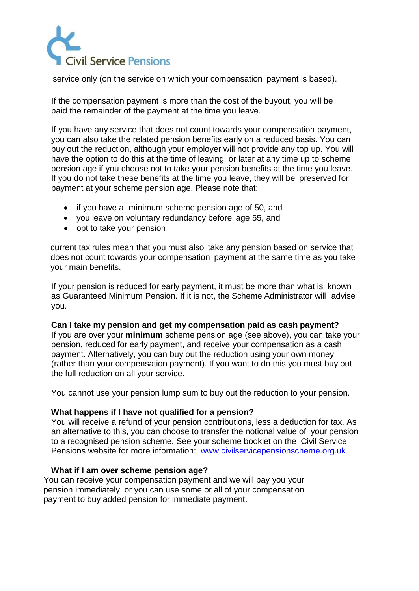

service only (on the service on which your compensation payment is based).

If the compensation payment is more than the cost of the buyout, you will be paid the remainder of the payment at the time you leave.

If you have any service that does not count towards your compensation payment, you can also take the related pension benefits early on a reduced basis. You can buy out the reduction, although your employer will not provide any top up. You will have the option to do this at the time of leaving, or later at any time up to scheme pension age if you choose not to take your pension benefits at the time you leave. If you do not take these benefits at the time you leave, they will be preserved for payment at your scheme pension age. Please note that:

- if you have a minimum scheme pension age of 50, and
- you leave on voluntary redundancy before age 55, and
- opt to take your pension

current tax rules mean that you must also take any pension based on service that does not count towards your compensation payment at the same time as you take your main benefits.

If your pension is reduced for early payment, it must be more than what is known as Guaranteed Minimum Pension. If it is not, the Scheme Administrator will advise you.

#### **Can I take my pension and get my compensation paid as cash payment?**

If you are over your **minimum** scheme pension age (see above), you can take your pension, reduced for early payment, and receive your compensation as a cash payment. Alternatively, you can buy out the reduction using your own money (rather than your compensation payment). If you want to do this you must buy out the full reduction on all your service.

You cannot use your pension lump sum to buy out the reduction to your pension.

#### **What happens if I have not qualified for a pension?**

You will receive a refund of your pension contributions, less a deduction for tax. As an alternative to this, you can choose to transfer the notional value of your pension to a recognised pension scheme. See your scheme booklet on the Civil Service Pensions website for more information: [www.civilservicepensionscheme.org.uk](http://www.civilservicepensionscheme.org.uk/)

#### **What if I am over scheme pension age?**

You can receive your compensation payment and we will pay you your pension immediately, or you can use some or all of your compensation payment to buy added pension for immediate payment.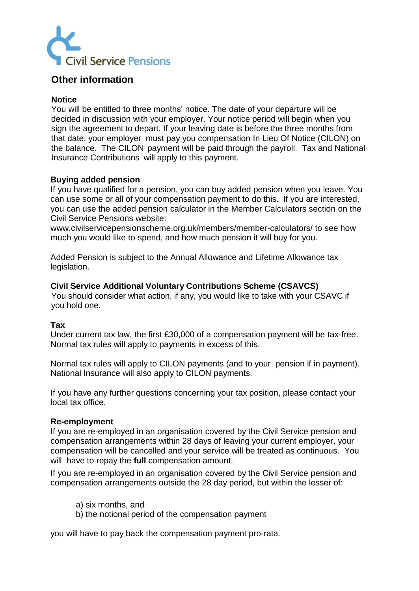

# **Other information**

#### **Notice**

You will be entitled to three months' notice. The date of your departure will be decided in discussion with your employer. Your notice period will begin when you sign the agreement to depart. If your leaving date is before the three months from that date, your employer must pay you compensation In Lieu Of Notice (CILON) on the balance. The CILON payment will be paid through the payroll. Tax and National Insurance Contributions will apply to this payment.

#### **Buying added pension**

If you have qualified for a pension, you can buy added pension when you leave. You can use some or all of your compensation payment to do this. If you are interested, you can use the added pension calculator in the Member Calculators section on the Civil Service Pensions website[:](http://www.civilservicepensionscheme.org.uk/members/member-calculators/)

[www.civilservicepensionscheme.org.uk/members/member-calculators/](http://www.civilservicepensionscheme.org.uk/members/member-calculators/) to see how much you would like to spend, and how much pension it will buy for you.

Added Pension is subject to the Annual Allowance and Lifetime Allowance tax legislation.

#### **Civil Service Additional Voluntary Contributions Scheme (CSAVCS)**

You should consider what action, if any, you would like to take with your CSAVC if you hold one.

#### **Tax**

Under current tax law, the first £30,000 of a compensation payment will be tax-free. Normal tax rules will apply to payments in excess of this.

Normal tax rules will apply to CILON payments (and to your pension if in payment). National Insurance will also apply to CILON payments.

If you have any further questions concerning your tax position, please contact your local tax office.

#### **Re-employment**

If you are re-employed in an organisation covered by the Civil Service pension and compensation arrangements within 28 days of leaving your current employer, your compensation will be cancelled and your service will be treated as continuous. You will have to repay the **full** compensation amount.

If you are re-employed in an organisation covered by the Civil Service pension and compensation arrangements outside the 28 day period, but within the lesser of:

- a) six months, and
- b) the notional period of the compensation payment

you will have to pay back the compensation payment pro-rata.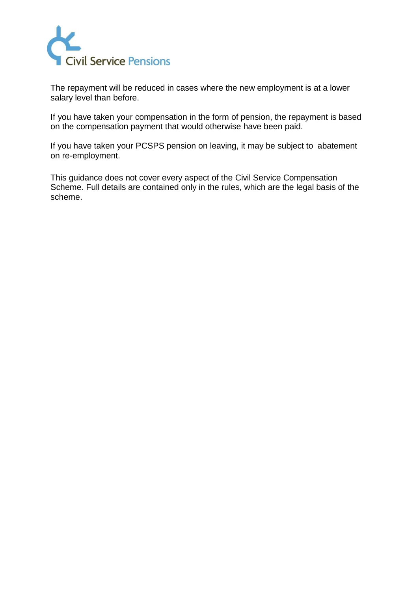

The repayment will be reduced in cases where the new employment is at a lower salary level than before.

If you have taken your compensation in the form of pension, the repayment is based on the compensation payment that would otherwise have been paid.

If you have taken your PCSPS pension on leaving, it may be subject to abatement on re-employment.

This guidance does not cover every aspect of the Civil Service Compensation Scheme. Full details are contained only in the rules, which are the legal basis of the scheme.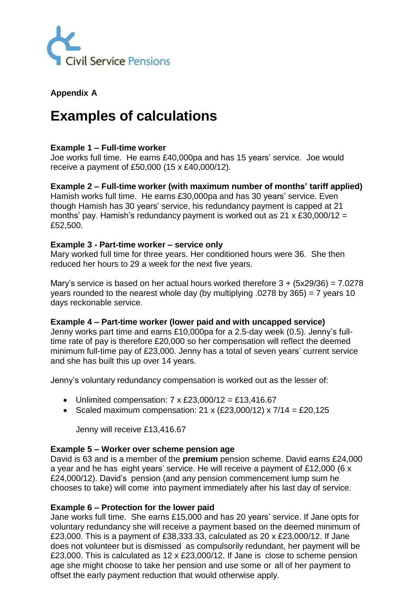

# **Appendix A**

# **Examples of calculations**

# **Example 1 – Full-time worker**

Joe works full time. He earns £40,000pa and has 15 years' service. Joe would receive a payment of £50,000 (15 x £40,000/12).

# **Example 2 – Full-time worker (with maximum number of months' tariff applied)**

Hamish works full time. He earns £30,000pa and has 30 years' service. Even though Hamish has 30 years' service, his redundancy payment is capped at 21 months' pay. Hamish's redundancy payment is worked out as  $21 \times £30,000/12 =$ £52,500.

#### **Example 3 - Part-time worker – service only**

Mary worked full time for three years. Her conditioned hours were 36. She then reduced her hours to 29 a week for the next five years.

Mary's service is based on her actual hours worked therefore  $3 + (5x29/36) = 7.0278$ years rounded to the nearest whole day (by multiplying .0278 by 365) = 7 years 10 days reckonable service.

#### **Example 4 – Part-time worker (lower paid and with uncapped service)**

Jenny works part time and earns £10,000pa for a 2.5-day week (0.5). Jenny's fulltime rate of pay is therefore £20,000 so her compensation will reflect the deemed minimum full-time pay of £23,000. Jenny has a total of seven years' current service and she has built this up over 14 years.

Jenny's voluntary redundancy compensation is worked out as the lesser of:

- Unlimited compensation:  $7 \times \text{\pounds}23,000/12 = \text{\pounds}13,416.67$
- Scaled maximum compensation:  $21 \times (£23,000/12) \times 7/14 = £20,125$

Jenny will receive £13,416.67

#### **Example 5 – Worker over scheme pension age**

David is 63 and is a member of the **premium** pension scheme. David earns £24,000 a year and he has eight years' service. He will receive a payment of £12,000 (6 x £24,000/12). David's pension (and any pension commencement lump sum he chooses to take) will come into payment immediately after his last day of service.

#### **Example 6 – Protection for the lower paid**

Jane works full time. She earns £15,000 and has 20 years' service. If Jane opts for voluntary redundancy she will receive a payment based on the deemed minimum of £23,000. This is a payment of £38,333.33, calculated as 20 x £23,000/12. If Jane does not volunteer but is dismissed as compulsorily redundant, her payment will be £23,000. This is calculated as 12 x £23,000/12. If Jane is close to scheme pension age she might choose to take her pension and use some or all of her payment to offset the early payment reduction that would otherwise apply.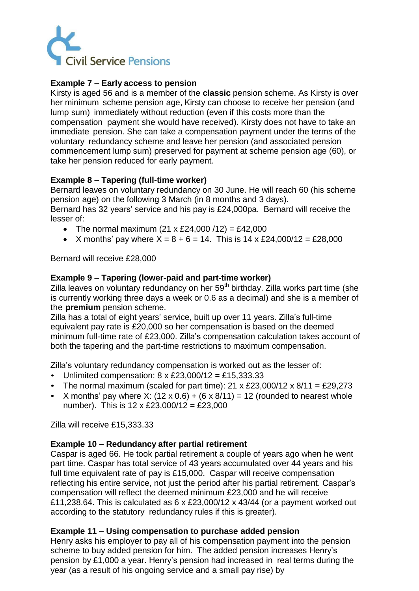

# **Example 7 – Early access to pension**

Kirsty is aged 56 and is a member of the **classic** pension scheme. As Kirsty is over her minimum scheme pension age, Kirsty can choose to receive her pension (and lump sum) immediately without reduction (even if this costs more than the compensation payment she would have received). Kirsty does not have to take an immediate pension. She can take a compensation payment under the terms of the voluntary redundancy scheme and leave her pension (and associated pension commencement lump sum) preserved for payment at scheme pension age (60), or take her pension reduced for early payment.

# **Example 8 – Tapering (full-time worker)**

Bernard leaves on voluntary redundancy on 30 June. He will reach 60 (his scheme pension age) on the following 3 March (in 8 months and 3 days).

Bernard has 32 years' service and his pay is £24,000pa. Bernard will receive the lesser of:

- The normal maximum  $(21 \times \text{\pounds}24,000 / 12) = \text{\pounds}42,000$
- X months' pay where  $X = 8 + 6 = 14$ . This is 14 x £24,000/12 = £28,000

Bernard will receive £28,000

# **Example 9 – Tapering (lower-paid and part-time worker)**

Zilla leaves on voluntary redundancy on her 59<sup>th</sup> birthday. Zilla works part time (she is currently working three days a week or 0.6 as a decimal) and she is a member of the **premium** pension scheme.

Zilla has a total of eight years' service, built up over 11 years. Zilla's full-time equivalent pay rate is £20,000 so her compensation is based on the deemed minimum full-time rate of £23,000. Zilla's compensation calculation takes account of both the tapering and the part-time restrictions to maximum compensation.

Zilla's voluntary redundancy compensation is worked out as the lesser of:

- Unlimited compensation:  $8 \times \text{\pounds}23,000/12 = \text{\pounds}15,333.33$
- The normal maximum (scaled for part time):  $21 \times \text{\textsterling}23,000/12 \times \text{\textsterling}11 = \text{\textsterling}29,273$
- X months' pay where X:  $(12 \times 0.6) + (6 \times 8/11) = 12$  (rounded to nearest whole number). This is  $12 \times \text{\pounds}23,000/12 = \text{\pounds}23,000$

Zilla will receive £15,333.33

#### **Example 10 – Redundancy after partial retirement**

Caspar is aged 66. He took partial retirement a couple of years ago when he went part time. Caspar has total service of 43 years accumulated over 44 years and his full time equivalent rate of pay is £15,000. Caspar will receive compensation reflecting his entire service, not just the period after his partial retirement. Caspar's compensation will reflect the deemed minimum £23,000 and he will receive £11,238.64. This is calculated as 6 x £23,000/12 x 43/44 (or a payment worked out according to the statutory redundancy rules if this is greater).

#### **Example 11 – Using compensation to purchase added pension**

Henry asks his employer to pay all of his compensation payment into the pension scheme to buy added pension for him. The added pension increases Henry's pension by £1,000 a year. Henry's pension had increased in real terms during the year (as a result of his ongoing service and a small pay rise) by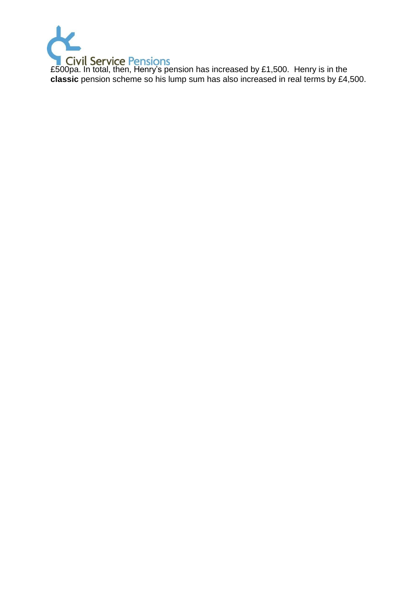

£500pa. In total, then, Henry's pension has increased by £1,500. Henry is in the **classic** pension scheme so his lump sum has also increased in real terms by £4,500.